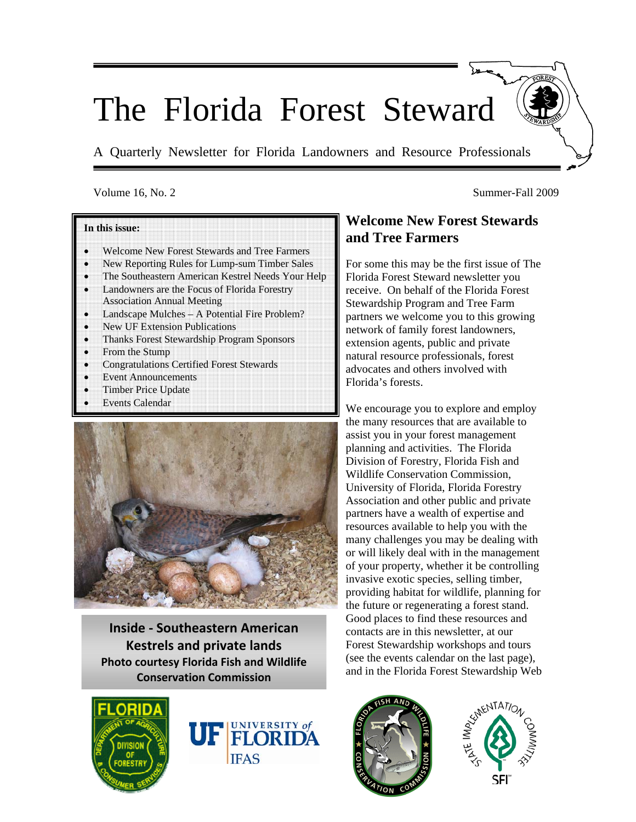# The Florida Forest Steward

A Quarterly Newsletter for Florida Landowners and Resource Professionals

#### Volume 16, No. 2 Summer-Fall 2009

#### **In this issue:**

- Welcome New Forest Stewards and Tree Farmers
- New Reporting Rules for Lump-sum Timber Sales
- The Southeastern American Kestrel Needs Your Help
- Landowners are the Focus of Florida Forestry Association Annual Meeting
- Landscape Mulches A Potential Fire Problem?
- New UF Extension Publications
- Thanks Forest Stewardship Program Sponsors
- From the Stump
- Congratulations Certified Forest Stewards
- **Event Announcements**
- Timber Price Update
- **Events Calendar**



**Inside ‐ Southeastern American Kestrels and private lands Photo courtesy Florida Fish and Wildlife Conservation Commission**





# **Welcome New Forest Stewards and Tree Farmers**

For some this may be the first issue of The Florida Forest Steward newsletter you receive. On behalf of the Florida Forest Stewardship Program and Tree Farm partners we welcome you to this growing network of family forest landowners, extension agents, public and private natural resource professionals, forest advocates and others involved with Florida's forests.

We encourage you to explore and employ the many resources that are available to assist you in your forest management planning and activities. The Florida Division of Forestry, Florida Fish and Wildlife Conservation Commission, University of Florida, Florida Forestry Association and other public and private partners have a wealth of expertise and resources available to help you with the many challenges you may be dealing with or will likely deal with in the management of your property, whether it be controlling invasive exotic species, selling timber, providing habitat for wildlife, planning for the future or regenerating a forest stand. Good places to find these resources and contacts are in this newsletter, at our Forest Stewardship workshops and tours (see the events calendar on the last page), and in the Florida Forest Stewardship Web



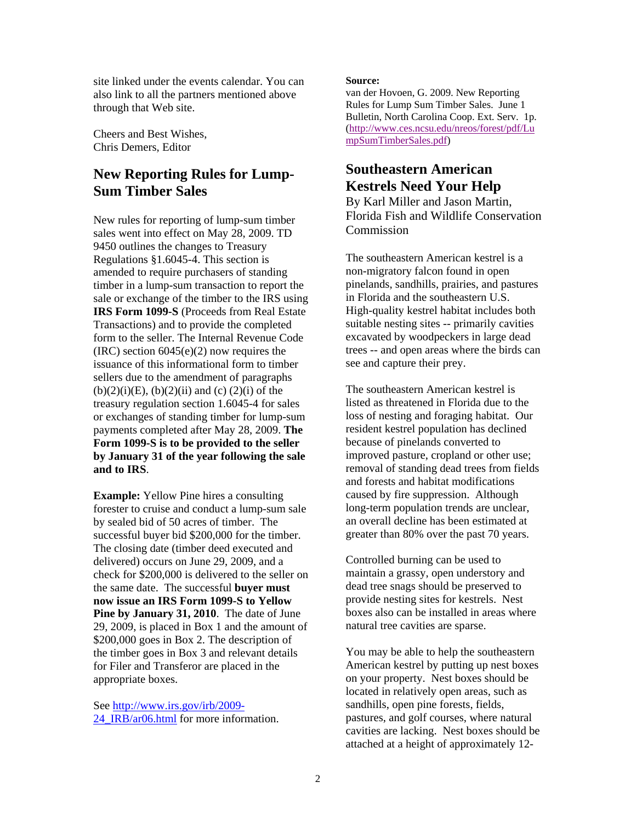site linked under the events calendar. You can also link to all the partners mentioned above through that Web site.

Cheers and Best Wishes, Chris Demers, Editor

# **New Reporting Rules for Lump-Sum Timber Sales**

New rules for reporting of lump-sum timber sales went into effect on May 28, 2009. TD 9450 outlines the changes to Treasury Regulations §1.6045-4. This section is amended to require purchasers of standing timber in a lump-sum transaction to report the sale or exchange of the timber to the IRS using **IRS Form 1099-S** (Proceeds from Real Estate Transactions) and to provide the completed form to the seller. The Internal Revenue Code  $(IRC)$  section  $6045(e)(2)$  now requires the issuance of this informational form to timber sellers due to the amendment of paragraphs  $(b)(2)(i)(E)$ ,  $(b)(2)(ii)$  and  $(c)(2)(i)$  of the treasury regulation section 1.6045-4 for sales or exchanges of standing timber for lump-sum payments completed after May 28, 2009. **The Form 1099-S is to be provided to the seller by January 31 of the year following the sale and to IRS**.

**Example:** Yellow Pine hires a consulting forester to cruise and conduct a lump-sum sale by sealed bid of 50 acres of timber. The successful buyer bid \$200,000 for the timber. The closing date (timber deed executed and delivered) occurs on June 29, 2009, and a check for \$200,000 is delivered to the seller on the same date. The successful **buyer must now issue an IRS Form 1099-S to Yellow Pine by January 31, 2010**. The date of June 29, 2009, is placed in Box 1 and the amount of \$200,000 goes in Box 2. The description of the timber goes in Box 3 and relevant details for Filer and Transferor are placed in the appropriate boxes.

See http://www.irs.gov/irb/2009- 24 IRB/ar06.html for more information.

#### **Source:**

van der Hovoen, G. 2009. New Reporting Rules for Lump Sum Timber Sales. June 1 Bulletin, North Carolina Coop. Ext. Serv. 1p. (http://www.ces.ncsu.edu/nreos/forest/pdf/Lu mpSumTimberSales.pdf)

# **Southeastern American Kestrels Need Your Help**

By Karl Miller and Jason Martin, Florida Fish and Wildlife Conservation **Commission** 

The southeastern American kestrel is a non-migratory falcon found in open pinelands, sandhills, prairies, and pastures in Florida and the southeastern U.S. High-quality kestrel habitat includes both suitable nesting sites -- primarily cavities excavated by woodpeckers in large dead trees -- and open areas where the birds can see and capture their prey.

The southeastern American kestrel is listed as threatened in Florida due to the loss of nesting and foraging habitat. Our resident kestrel population has declined because of pinelands converted to improved pasture, cropland or other use; removal of standing dead trees from fields and forests and habitat modifications caused by fire suppression. Although long-term population trends are unclear, an overall decline has been estimated at greater than 80% over the past 70 years.

Controlled burning can be used to maintain a grassy, open understory and dead tree snags should be preserved to provide nesting sites for kestrels. Nest boxes also can be installed in areas where natural tree cavities are sparse.

You may be able to help the southeastern American kestrel by putting up nest boxes on your property. Nest boxes should be located in relatively open areas, such as sandhills, open pine forests, fields, pastures, and golf courses, where natural cavities are lacking. Nest boxes should be attached at a height of approximately 12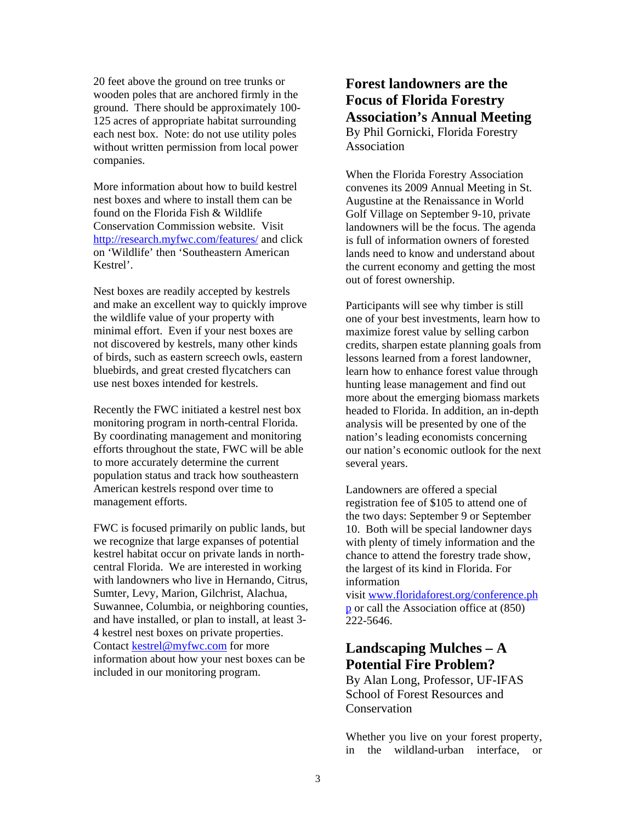20 feet above the ground on tree trunks or wooden poles that are anchored firmly in the ground. There should be approximately 100- 125 acres of appropriate habitat surrounding each nest box. Note: do not use utility poles without written permission from local power companies.

More information about how to build kestrel nest boxes and where to install them can be found on the Florida Fish & Wildlife Conservation Commission website. Visit http://research.myfwc.com/features/ and click on 'Wildlife' then 'Southeastern American Kestrel'.

Nest boxes are readily accepted by kestrels and make an excellent way to quickly improve the wildlife value of your property with minimal effort. Even if your nest boxes are not discovered by kestrels, many other kinds of birds, such as eastern screech owls, eastern bluebirds, and great crested flycatchers can use nest boxes intended for kestrels.

Recently the FWC initiated a kestrel nest box monitoring program in north-central Florida. By coordinating management and monitoring efforts throughout the state, FWC will be able to more accurately determine the current population status and track how southeastern American kestrels respond over time to management efforts.

FWC is focused primarily on public lands, but we recognize that large expanses of potential kestrel habitat occur on private lands in northcentral Florida. We are interested in working with landowners who live in Hernando, Citrus, Sumter, Levy, Marion, Gilchrist, Alachua, Suwannee, Columbia, or neighboring counties, and have installed, or plan to install, at least 3- 4 kestrel nest boxes on private properties. Contact kestrel@myfwc.com for more information about how your nest boxes can be included in our monitoring program.

### **Forest landowners are the Focus of Florida Forestry Association's Annual Meeting** By Phil Gornicki, Florida Forestry Association

When the Florida Forestry Association convenes its 2009 Annual Meeting in St. Augustine at the Renaissance in World Golf Village on September 9-10, private landowners will be the focus. The agenda is full of information owners of forested lands need to know and understand about the current economy and getting the most out of forest ownership.

Participants will see why timber is still one of your best investments, learn how to maximize forest value by selling carbon credits, sharpen estate planning goals from lessons learned from a forest landowner, learn how to enhance forest value through hunting lease management and find out more about the emerging biomass markets headed to Florida. In addition, an in-depth analysis will be presented by one of the nation's leading economists concerning our nation's economic outlook for the next several years.

Landowners are offered a special registration fee of \$105 to attend one of the two days: September 9 or September 10. Both will be special landowner days with plenty of timely information and the chance to attend the forestry trade show, the largest of its kind in Florida. For information

visit www.floridaforest.org/conference.ph p or call the Association office at (850) 222-5646.

# **Landscaping Mulches – A Potential Fire Problem?**

By Alan Long, Professor, UF-IFAS School of Forest Resources and Conservation

Whether you live on your forest property, in the wildland-urban interface, or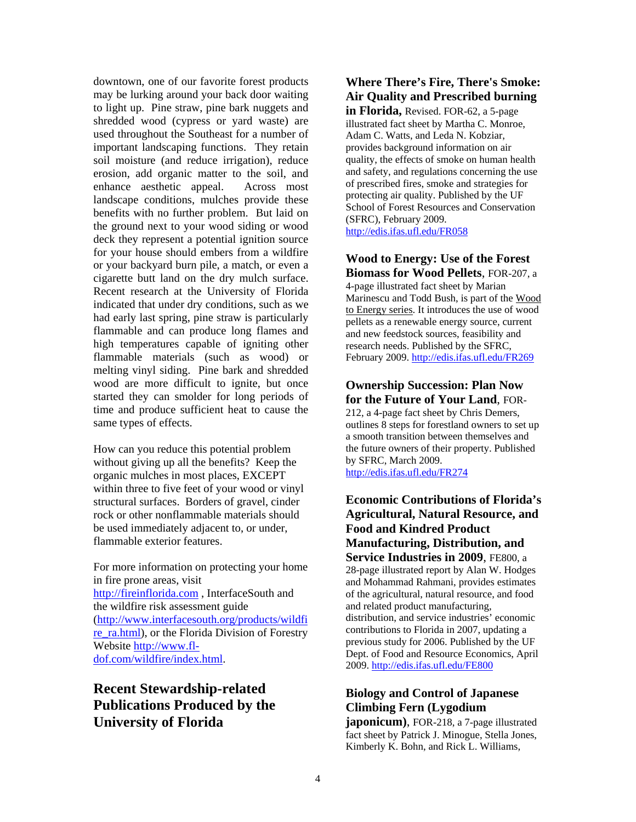downtown, one of our favorite forest products may be lurking around your back door waiting to light up. Pine straw, pine bark nuggets and shredded wood (cypress or yard waste) are used throughout the Southeast for a number of important landscaping functions. They retain soil moisture (and reduce irrigation), reduce erosion, add organic matter to the soil, and enhance aesthetic appeal. Across most landscape conditions, mulches provide these benefits with no further problem. But laid on the ground next to your wood siding or wood deck they represent a potential ignition source for your house should embers from a wildfire or your backyard burn pile, a match, or even a cigarette butt land on the dry mulch surface. Recent research at the University of Florida indicated that under dry conditions, such as we had early last spring, pine straw is particularly flammable and can produce long flames and high temperatures capable of igniting other flammable materials (such as wood) or melting vinyl siding. Pine bark and shredded wood are more difficult to ignite, but once started they can smolder for long periods of time and produce sufficient heat to cause the same types of effects.

How can you reduce this potential problem without giving up all the benefits? Keep the organic mulches in most places, EXCEPT within three to five feet of your wood or vinyl structural surfaces. Borders of gravel, cinder rock or other nonflammable materials should be used immediately adjacent to, or under, flammable exterior features.

For more information on protecting your home in fire prone areas, visit http://fireinflorida.com , InterfaceSouth and the wildfire risk assessment guide (http://www.interfacesouth.org/products/wildfi re\_ra.html), or the Florida Division of Forestry Website http://www.fldof.com/wildfire/index.html.

# **Recent Stewardship-related Publications Produced by the University of Florida**

#### **Where There's Fire, There's Smoke: Air Quality and Prescribed burning**

**in Florida,** Revised. FOR-62, a 5-page illustrated fact sheet by Martha C. Monroe, Adam C. Watts, and Leda N. Kobziar, provides background information on air quality, the effects of smoke on human health and safety, and regulations concerning the use of prescribed fires, smoke and strategies for protecting air quality. Published by the UF School of Forest Resources and Conservation (SFRC), February 2009. http://edis.ifas.ufl.edu/FR058

#### **Wood to Energy: Use of the Forest Biomass for Wood Pellets**, FOR-207, a

4-page illustrated fact sheet by Marian Marinescu and Todd Bush, is part of the Wood to Energy series. It introduces the use of wood pellets as a renewable energy source, current and new feedstock sources, feasibility and research needs. Published by the SFRC, February 2009. http://edis.ifas.ufl.edu/FR269

#### **Ownership Succession: Plan Now for the Future of Your Land**, FOR-

212, a 4-page fact sheet by Chris Demers, outlines 8 steps for forestland owners to set up a smooth transition between themselves and the future owners of their property. Published by SFRC, March 2009. http://edis.ifas.ufl.edu/FR274

#### **Economic Contributions of Florida's Agricultural, Natural Resource, and Food and Kindred Product Manufacturing, Distribution, and Service Industries in 2009**, FE800, a 28-page illustrated report by Alan W. Hodges and Mohammad Rahmani, provides estimates of the agricultural, natural resource, and food and related product manufacturing, distribution, and service industries' economic contributions to Florida in 2007, updating a previous study for 2006. Published by the UF Dept. of Food and Resource Economics, April 2009. http://edis.ifas.ufl.edu/FE800

#### **Biology and Control of Japanese Climbing Fern (Lygodium**

**japonicum)**, FOR-218, a 7-page illustrated fact sheet by Patrick J. Minogue, Stella Jones, Kimberly K. Bohn, and Rick L. Williams,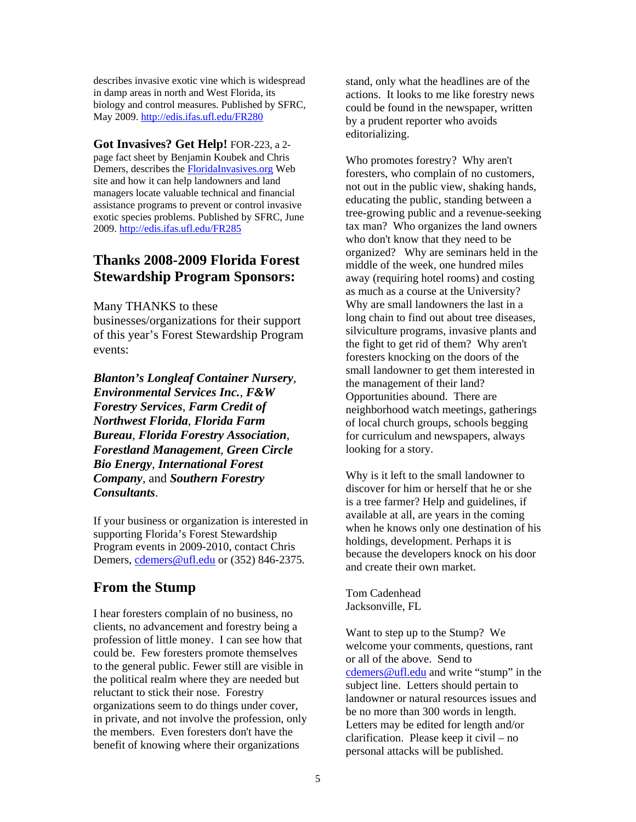describes invasive exotic vine which is widespread in damp areas in north and West Florida, its biology and control measures. Published by SFRC, May 2009. http://edis.ifas.ufl.edu/FR280

**Got Invasives? Get Help!** FOR-223, a 2-

page fact sheet by Benjamin Koubek and Chris Demers, describes the FloridaInvasives.org Web site and how it can help landowners and land managers locate valuable technical and financial assistance programs to prevent or control invasive exotic species problems. Published by SFRC, June 2009. http://edis.ifas.ufl.edu/FR285

# **Thanks 2008-2009 Florida Forest Stewardship Program Sponsors:**

Many THANKS to these

businesses/organizations for their support of this year's Forest Stewardship Program events:

*Blanton's Longleaf Container Nursery*, *Environmental Services Inc.*, *F&W Forestry Services*, *Farm Credit of Northwest Florida*, *Florida Farm Bureau*, *Florida Forestry Association*, *Forestland Management*, *Green Circle Bio Energy*, *International Forest Company*, and *Southern Forestry Consultants*.

If your business or organization is interested in supporting Florida's Forest Stewardship Program events in 2009-2010, contact Chris Demers, cdemers@ufl.edu or (352) 846-2375.

# **From the Stump**

I hear foresters complain of no business, no clients, no advancement and forestry being a profession of little money. I can see how that could be. Few foresters promote themselves to the general public. Fewer still are visible in the political realm where they are needed but reluctant to stick their nose. Forestry organizations seem to do things under cover, in private, and not involve the profession, only the members. Even foresters don't have the benefit of knowing where their organizations

stand, only what the headlines are of the actions. It looks to me like forestry news could be found in the newspaper, written by a prudent reporter who avoids editorializing.

Who promotes forestry? Why aren't foresters, who complain of no customers, not out in the public view, shaking hands, educating the public, standing between a tree-growing public and a revenue-seeking tax man? Who organizes the land owners who don't know that they need to be organized? Why are seminars held in the middle of the week, one hundred miles away (requiring hotel rooms) and costing as much as a course at the University? Why are small landowners the last in a long chain to find out about tree diseases, silviculture programs, invasive plants and the fight to get rid of them? Why aren't foresters knocking on the doors of the small landowner to get them interested in the management of their land? Opportunities abound. There are neighborhood watch meetings, gatherings of local church groups, schools begging for curriculum and newspapers, always looking for a story.

Why is it left to the small landowner to discover for him or herself that he or she is a tree farmer? Help and guidelines, if available at all, are years in the coming when he knows only one destination of his holdings, development. Perhaps it is because the developers knock on his door and create their own market.

Tom Cadenhead Jacksonville, FL

Want to step up to the Stump? We welcome your comments, questions, rant or all of the above. Send to cdemers@ufl.edu and write "stump" in the subject line. Letters should pertain to landowner or natural resources issues and be no more than 300 words in length. Letters may be edited for length and/or clarification. Please keep it civil – no personal attacks will be published.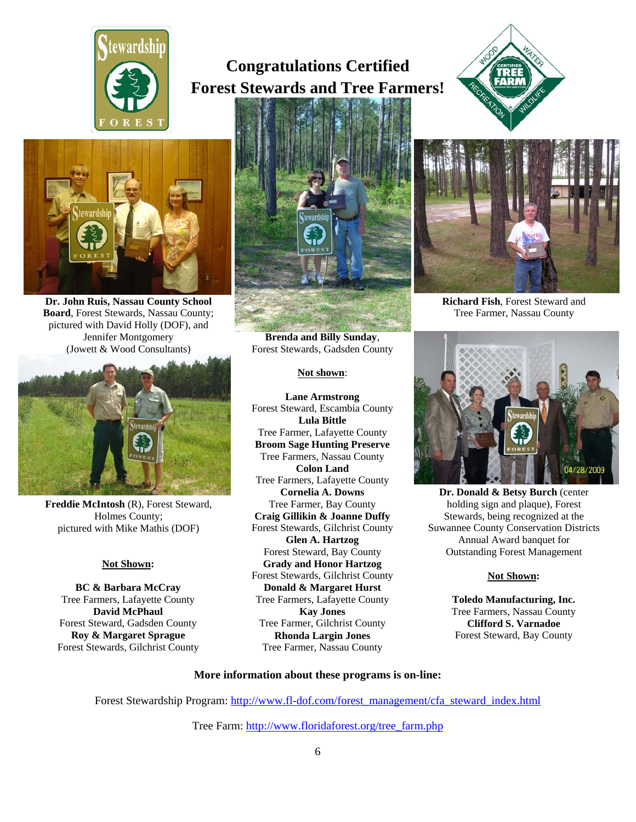

# **Congratulations Certified Forest Stewards and Tree Farmers!**





**Dr. John Ruis, Nassau County School Board**, Forest Stewards, Nassau County; pictured with David Holly (DOF), and Jennifer Montgomery (Jowett & Wood Consultants)



**Freddie McIntosh** (R), Forest Steward, Holmes County; pictured with Mike Mathis (DOF)

#### **Not Shown:**

**BC & Barbara McCray** Tree Farmers, Lafayette County **David McPhaul** Forest Steward, Gadsden County **Roy & Margaret Sprague** Forest Stewards, Gilchrist County



**Brenda and Billy Sunday**, Forest Stewards, Gadsden County

#### **Not shown**:

**Lane Armstrong** Forest Steward, Escambia County **Lula Bittle** Tree Farmer, Lafayette County **Broom Sage Hunting Preserve**  Tree Farmers, Nassau County **Colon Land** Tree Farmers, Lafayette County **Cornelia A. Downs** Tree Farmer, Bay County **Craig Gillikin & Joanne Duffy** Forest Stewards, Gilchrist County **Glen A. Hartzog**  Forest Steward, Bay County **Grady and Honor Hartzog** Forest Stewards, Gilchrist County **Donald & Margaret Hurst** Tree Farmers, Lafayette County **Kay Jones** Tree Farmer, Gilchrist County **Rhonda Largin Jones** Tree Farmer, Nassau County



**Richard Fish**, Forest Steward and Tree Farmer, Nassau County



**Dr. Donald & Betsy Burch** (center holding sign and plaque), Forest Stewards, being recognized at the Suwannee County Conservation Districts Annual Award banquet for Outstanding Forest Management

#### **Not Shown:**

**Toledo Manufacturing, Inc.**  Tree Farmers, Nassau County **Clifford S. Varnadoe**  Forest Steward, Bay County

#### **More information about these programs is on-line:**

Forest Stewardship Program: http://www.fl-dof.com/forest\_management/cfa\_steward\_index.html

Tree Farm: http://www.floridaforest.org/tree\_farm.php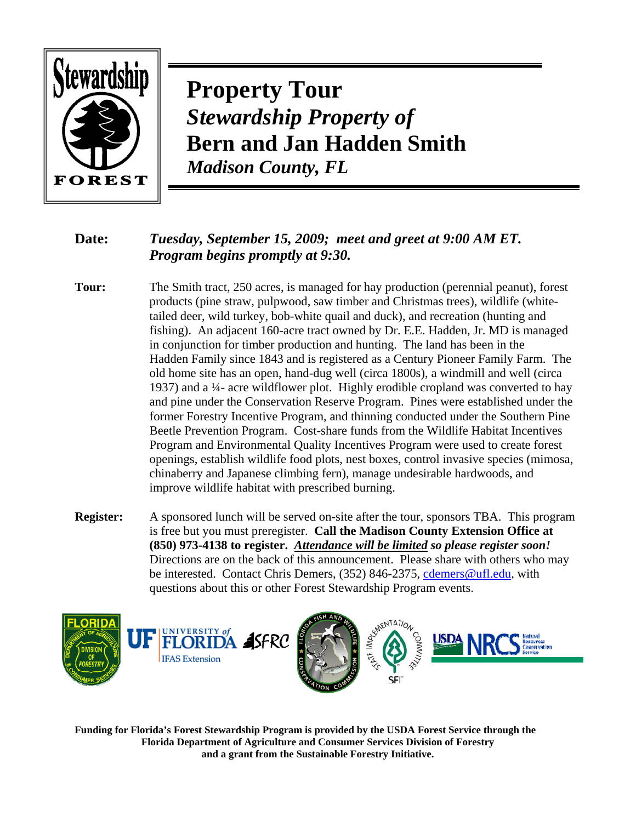

**Property Tour**  *Stewardship Property of*  **Bern and Jan Hadden Smith** *Madison County, FL* 

# **Date:** *Tuesday, September 15, 2009; meet and greet at 9:00 AM ET. Program begins promptly at 9:30.*

- **Tour:** The Smith tract, 250 acres, is managed for hay production (perennial peanut), forest products (pine straw, pulpwood, saw timber and Christmas trees), wildlife (whitetailed deer, wild turkey, bob-white quail and duck), and recreation (hunting and fishing). An adjacent 160-acre tract owned by Dr. E.E. Hadden, Jr. MD is managed in conjunction for timber production and hunting. The land has been in the Hadden Family since 1843 and is registered as a Century Pioneer Family Farm. The old home site has an open, hand-dug well (circa 1800s), a windmill and well (circa 1937) and a ¼- acre wildflower plot. Highly erodible cropland was converted to hay and pine under the Conservation Reserve Program. Pines were established under the former Forestry Incentive Program, and thinning conducted under the Southern Pine Beetle Prevention Program. Cost-share funds from the Wildlife Habitat Incentives Program and Environmental Quality Incentives Program were used to create forest openings, establish wildlife food plots, nest boxes, control invasive species (mimosa, chinaberry and Japanese climbing fern), manage undesirable hardwoods, and improve wildlife habitat with prescribed burning.
- **Register:** A sponsored lunch will be served on-site after the tour, sponsors TBA. This program is free but you must preregister. **Call the Madison County Extension Office at (850) 973-4138 to register.** *Attendance will be limited so please register soon!*  Directions are on the back of this announcement. Please share with others who may be interested. Contact Chris Demers, (352) 846-2375, cdemers@ufl.edu, with questions about this or other Forest Stewardship Program events.



**Funding for Florida's Forest Stewardship Program is provided by the USDA Forest Service through the Florida Department of Agriculture and Consumer Services Division of Forestry and a grant from the Sustainable Forestry Initiative.**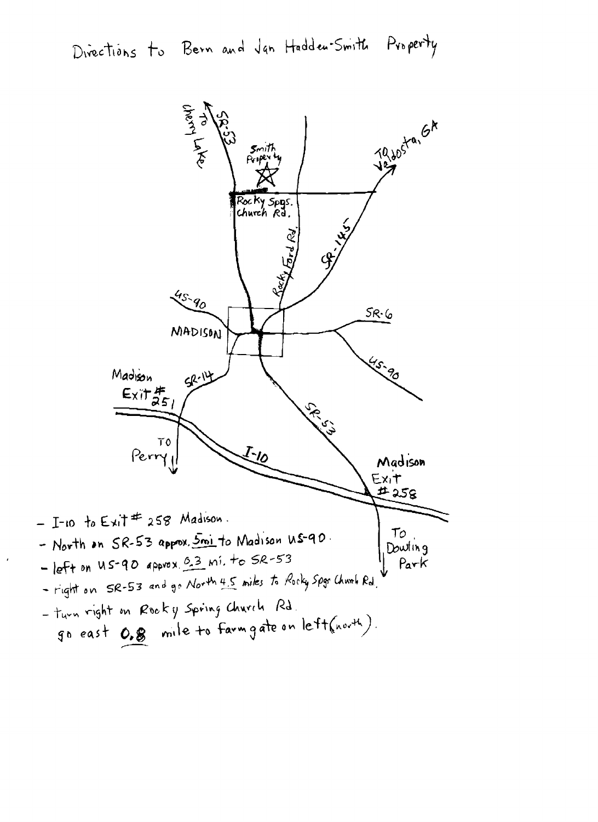Directions to Bern and Jan Hadden-Smith Property

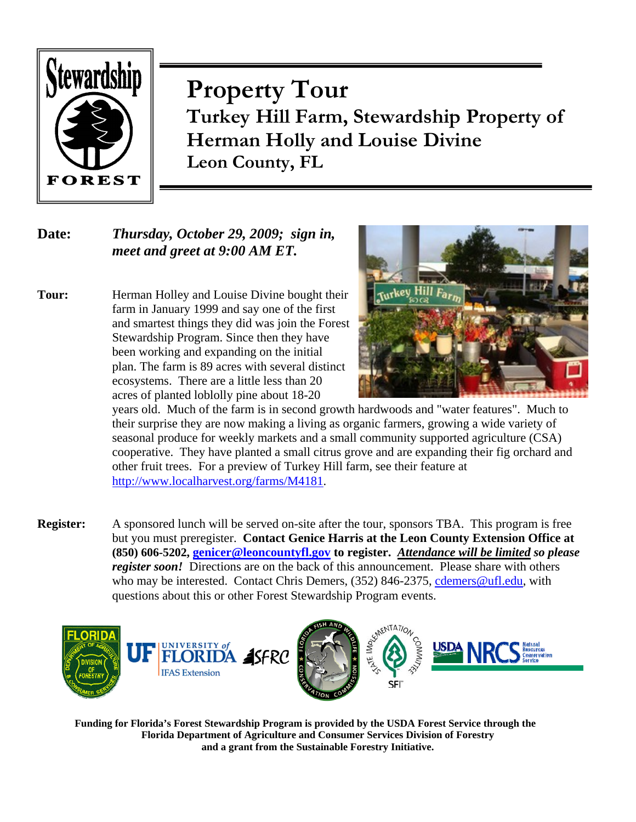

**Property Tour Turkey Hill Farm, Stewardship Property of Herman Holly and Louise Divine Leon County, FL** 

# **Date:** *Thursday, October 29, 2009; sign in, meet and greet at 9:00 AM ET.*

**Tour:** Herman Holley and Louise Divine bought their farm in January 1999 and say one of the first and smartest things they did was join the Forest Stewardship Program. Since then they have been working and expanding on the initial plan. The farm is 89 acres with several distinct ecosystems. There are a little less than 20 acres of planted loblolly pine about 18-20



years old. Much of the farm is in second growth hardwoods and "water features". Much to their surprise they are now making a living as organic farmers, growing a wide variety of seasonal produce for weekly markets and a small community supported agriculture (CSA) cooperative. They have planted a small citrus grove and are expanding their fig orchard and other fruit trees. For a preview of Turkey Hill farm, see their feature at http://www.localharvest.org/farms/M4181.

**Register:** A sponsored lunch will be served on-site after the tour, sponsors TBA. This program is free but you must preregister. **Contact Genice Harris at the Leon County Extension Office at (850) 606-5202, genicer@leoncountyfl.gov to register.** *Attendance will be limited so please register soon!* Directions are on the back of this announcement. Please share with others who may be interested. Contact Chris Demers, (352) 846-2375, cdemers@ufl.edu, with questions about this or other Forest Stewardship Program events.



**Funding for Florida's Forest Stewardship Program is provided by the USDA Forest Service through the Florida Department of Agriculture and Consumer Services Division of Forestry and a grant from the Sustainable Forestry Initiative.**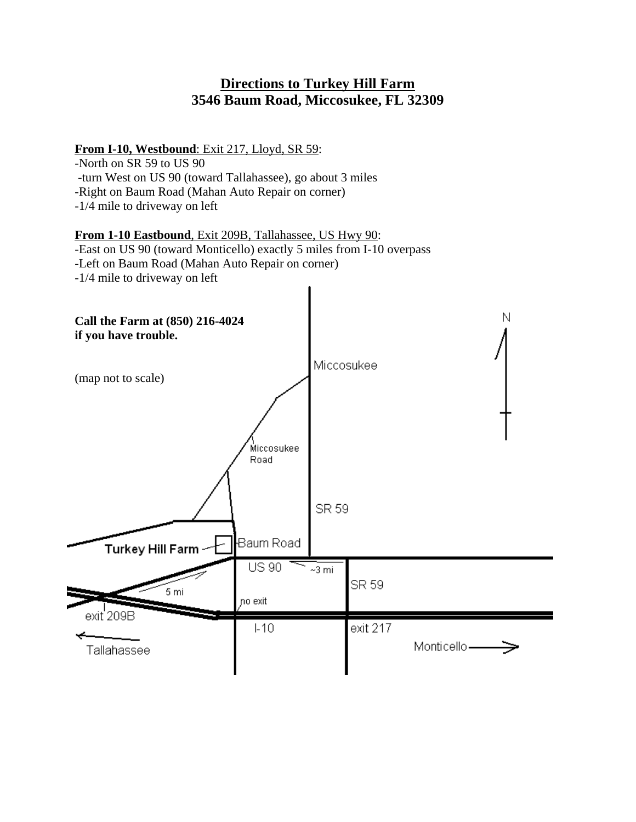# **Directions to Turkey Hill Farm 3546 Baum Road, Miccosukee, FL 32309**

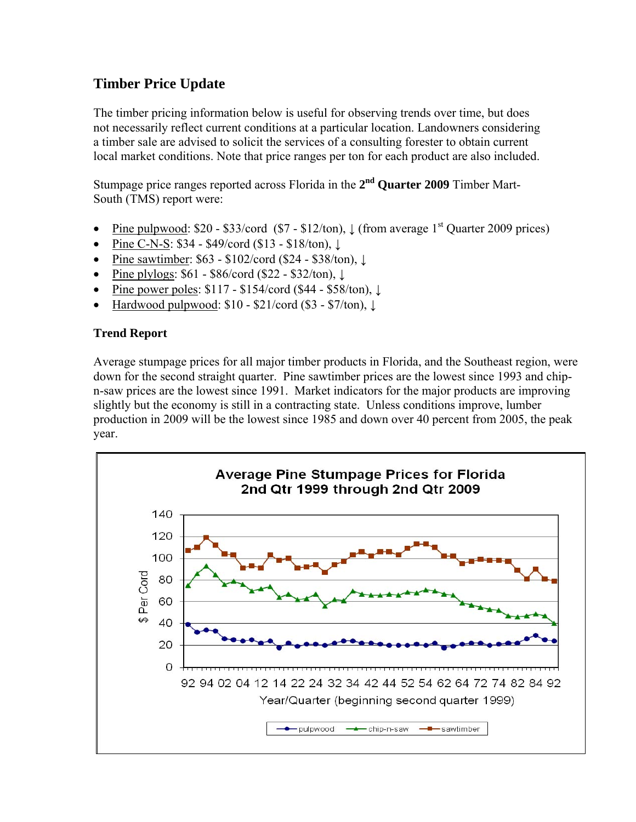# **Timber Price Update**

The timber pricing information below is useful for observing trends over time, but does not necessarily reflect current conditions at a particular location. Landowners considering a timber sale are advised to solicit the services of a consulting forester to obtain current local market conditions. Note that price ranges per ton for each product are also included.

Stumpage price ranges reported across Florida in the **2nd Quarter 2009** Timber Mart-South (TMS) report were:

- Pine pulpwood:  $$20 $33$ /cord ( $$7 $12$ /ton),  $\downarrow$  (from average 1<sup>st</sup> Quarter 2009 prices)
- Pine C-N-S: \$34 \$49/cord (\$13 \$18/ton), ↓
- Pine sawtimber: \$63 \$102/cord (\$24 \$38/ton), ↓
- Pine plylogs:  $$61 $86$ /cord ( $$22 $32$ /ton),  $\downarrow$
- Pine power poles: \$117 \$154/cord (\$44 \$58/ton), ↓
- Hardwood pulpwood:  $$10 $21/\text{cord} ( $3 $7/\text{ton}), \downarrow$

# **Trend Report**

Average stumpage prices for all major timber products in Florida, and the Southeast region, were down for the second straight quarter. Pine sawtimber prices are the lowest since 1993 and chipn-saw prices are the lowest since 1991. Market indicators for the major products are improving slightly but the economy is still in a contracting state. Unless conditions improve, lumber production in 2009 will be the lowest since 1985 and down over 40 percent from 2005, the peak year.